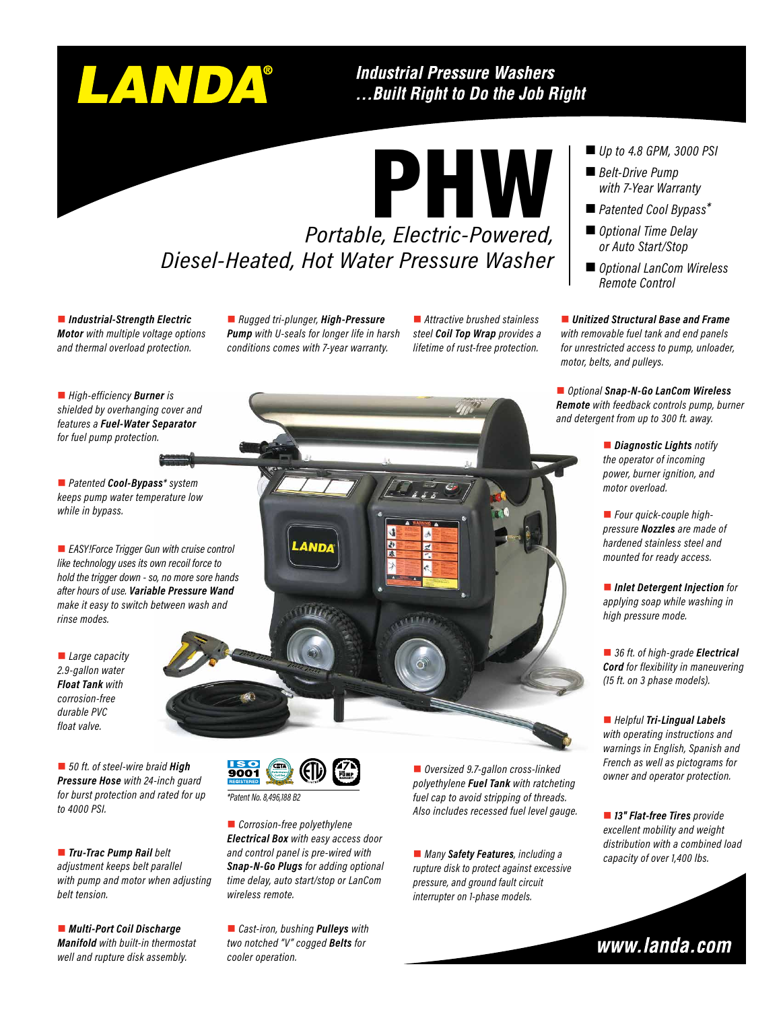# LANDA®

#### **Industrial Pressure Washers** ... Built Right to Do the Job Right

*Portable, Electric-Powered,*  PHW *Diesel-Heated, Hot Water Pressure Washer*

■ *Industrial-Strength Electric Motor with multiple voltage options and thermal overload protection.*

■ *Rugged tri-plunger*, *High-Pressure Pump with U-seals for longer life in harsh conditions comes with 7-year warranty.*

■ Attractive brushed stainless *steel Coil Top Wrap provides a lifetime of rust-free protection.*

*Up to 4.8 GPM, 3000 PSI*

- *Belt-Drive Pump with 7-Year Warranty*
- *Patented Cool Bypass\**
- *Optional Time Delay or Auto Start/Stop Optional LanCom Wireless*

■ Unitized Structural Base and Frame *with removable fuel tank and end panels for unrestricted access to pump, unloader, motor, belts, and pulleys.*

*Remote Control*

n *Optional Snap-N-Go LanCom Wireless Remote with feedback controls pump, burner and detergent from up to 300 ft. away.*

> ■ *Diagnostic Lights notify the operator of incoming power, burner ignition, and motor overload.*

■ *Four quick-couple highpressure Nozzles are made of hardened stainless steel and mounted for ready access.*

**n** *Inlet Detergent Injection* for *applying soap while washing in high pressure mode.*

■ 36 ft. of high-grade *Electrical Cord for flexibility in maneuvering (15 ft. on 3 phase models).*

■ *Helpful Tri-Lingual Labels with operating instructions and warnings in English, Spanish and French as well as pictograms for owner and operator protection.*

■ 13" Flat-free Tires provide *excellent mobility and weight distribution with a combined load capacity of over 1,400 lbs.*



■ *High-efficiency Burner* is *shielded by overhanging cover and features a Fuel-Water Separator for fuel pump protection.*

■ *Patented Cool-Bypass<sup>\*</sup> system keeps pump water temperature low while in bypass.*

**EASY!Force Trigger Gun with cruise control** *like technology uses its own recoil force to hold the trigger down - so, no more sore hands after hours of use. Variable Pressure Wand make it easy to switch between wash and rinse modes.*

**Large capacity** *2.9-gallon water Float Tank with corrosion-free durable PVC float valve.*

■ 50 ft. of steel-wire braid **High** *Pressure Hose with 24-inch guard for burst protection and rated for up to 4000 PSI.*

n *Tru-Trac Pump Rail belt adjustment keeps belt parallel with pump and motor when adjusting belt tension.*

■ *Multi-Port Coil Discharge Manifold with built-in thermostat well and rupture disk assembly.*



*\*Patent No. 8,496,188 B2*

■ *Corrosion-free polyethylene Electrical Box with easy access door and control panel is pre-wired with Snap-N-Go Plugs for adding optional time delay, auto start/stop or LanCom wireless remote.*

■ *Cast-iron, bushing Pulleys with two notched "V" cogged Belts for cooler operation.*

n *Oversized 9.7-gallon cross-linked polyethylene Fuel Tank with ratcheting fuel cap to avoid stripping of threads. Also includes recessed fuel level gauge.*

n *Many Safety Features, including a rupture disk to protect against excessive pressure, and ground fault circuit interrupter on 1-phase models.*

AND.